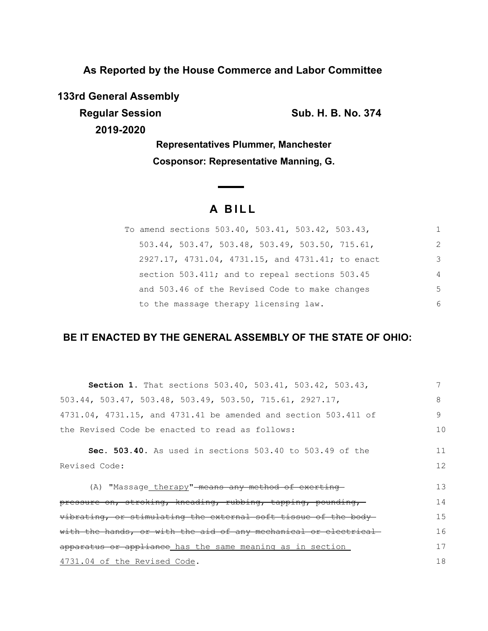**As Reported by the House Commerce and Labor Committee**

**133rd General Assembly**

**2019-2020**

**Regular Session Sub. H. B. No. 374** 

**Representatives Plummer, Manchester Cosponsor: Representative Manning, G.**

# **A B I L L**

| To amend sections 503.40, 503.41, 503.42, 503.43,  |                |
|----------------------------------------------------|----------------|
| $503.44$ , 503.47, 503.48, 503.49, 503.50, 715.61, | 2              |
| 2927.17, 4731.04, 4731.15, and 4731.41; to enact   | 3              |
| section 503.411; and to repeal sections 503.45     | $\overline{4}$ |
| and 503.46 of the Revised Code to make changes     | 5              |
| to the massage therapy licensing law.              | 6              |

## **BE IT ENACTED BY THE GENERAL ASSEMBLY OF THE STATE OF OHIO:**

| Section 1. That sections 503.40, 503.41, 503.42, 503.43,                      |    |
|-------------------------------------------------------------------------------|----|
| $503.44$ , $503.47$ , $503.48$ , $503.49$ , $503.50$ , $715.61$ , $2927.17$ , | 8  |
| 4731.04, 4731.15, and 4731.41 be amended and section 503.411 of               | 9  |
| the Revised Code be enacted to read as follows:                               | 10 |
| <b>Sec. 503.40.</b> As used in sections 503.40 to 503.49 of the               | 11 |
| Revised Code:                                                                 | 12 |
| (A) "Massage therapy"-means any method of exerting-                           | 13 |
| pressure on, stroking, kneading, rubbing, tapping, pounding,                  | 14 |
| vibrating, or stimulating the external soft tissue of the body-               | 15 |
| with the hands, or with the aid of any mechanical or electrical-              | 16 |
| apparatus or appliance has the same meaning as in section                     | 17 |
| 4731.04 of the Revised Code.                                                  | 18 |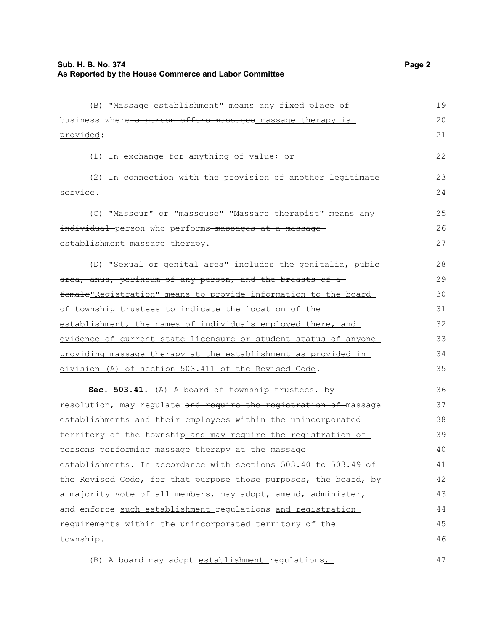| (B) "Massage establishment" means any fixed place of                          | 19 |
|-------------------------------------------------------------------------------|----|
| business where a person offers massages massage therapy is                    | 20 |
| provided:                                                                     | 21 |
| (1) In exchange for anything of value; or                                     | 22 |
| (2) In connection with the provision of another legitimate                    | 23 |
| service.                                                                      | 24 |
| (C) "Masseur" or "masseuse" - "Massage therapist" means any                   | 25 |
| <del>individual person</del> _who performs <del>-massages at a massage-</del> | 26 |
| establishment massage therapy.                                                | 27 |
| (D) "Sexual or genital area" includes the genitalia, pubic-                   | 28 |
| area, anus, perineum of any person, and the breasts of a                      | 29 |
| female"Registration" means to provide information to the board                | 30 |
| of township trustees to indicate the location of the                          | 31 |
| establishment, the names of individuals employed there, and                   | 32 |
| evidence of current state licensure or student status of anyone               | 33 |
| providing massage therapy at the establishment as provided in                 | 34 |
| division (A) of section 503.411 of the Revised Code.                          | 35 |
| Sec. 503.41. (A) A board of township trustees, by                             | 36 |
| resolution, may regulate and require the registration of massage              | 37 |
| establishments and their employees within the unincorporated                  | 38 |
| territory of the township_and_may_require_the_registration_of_                | 39 |
| persons performing massage therapy at the massage                             | 40 |
| establishments. In accordance with sections 503.40 to 503.49 of               | 41 |
| the Revised Code, for that purpose those purposes, the board, by              | 42 |
| a majority vote of all members, may adopt, amend, administer,                 | 43 |
| and enforce such establishment regulations and registration                   | 44 |
| requirements within the unincorporated territory of the                       | 45 |
| township.                                                                     | 46 |
| (B) A board may adopt establishment regulations                               | 47 |

(B) A board may adopt establishment regulations,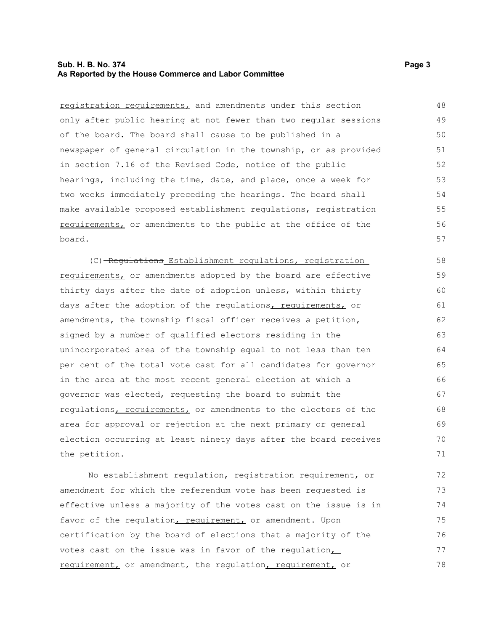#### **Sub. H. B. No. 374 Page 3 As Reported by the House Commerce and Labor Committee**

registration requirements, and amendments under this section only after public hearing at not fewer than two regular sessions of the board. The board shall cause to be published in a newspaper of general circulation in the township, or as provided in section 7.16 of the Revised Code, notice of the public hearings, including the time, date, and place, once a week for two weeks immediately preceding the hearings. The board shall make available proposed establishment regulations, registration requirements, or amendments to the public at the office of the board. 48 49 50 51 52 53 54 55 56 57

(C) Regulations Establishment regulations, registration requirements, or amendments adopted by the board are effective thirty days after the date of adoption unless, within thirty days after the adoption of the regulations, requirements, or amendments, the township fiscal officer receives a petition, signed by a number of qualified electors residing in the unincorporated area of the township equal to not less than ten per cent of the total vote cast for all candidates for governor in the area at the most recent general election at which a governor was elected, requesting the board to submit the regulations, requirements, or amendments to the electors of the area for approval or rejection at the next primary or general election occurring at least ninety days after the board receives the petition. 58 59 60 61 62 63 64 65 66 67 68 69 70 71

No establishment regulation, registration requirement, or amendment for which the referendum vote has been requested is effective unless a majority of the votes cast on the issue is in favor of the regulation, requirement, or amendment. Upon certification by the board of elections that a majority of the votes cast on the issue was in favor of the regulation, requirement, or amendment, the regulation, requirement, or 72 73 74 75 76 77 78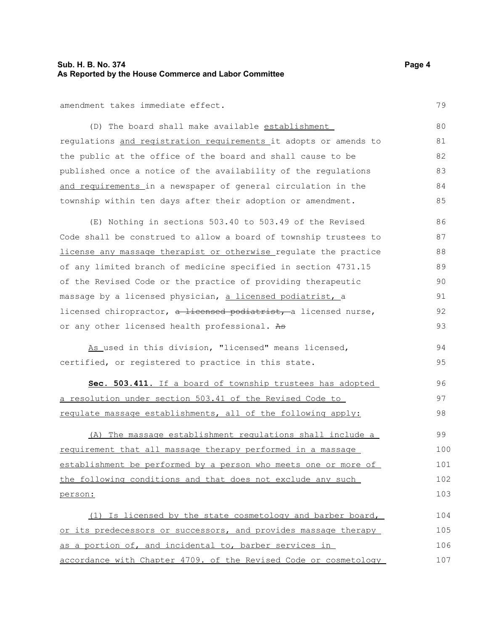#### **Sub. H. B. No. 374 Page 4 As Reported by the House Commerce and Labor Committee**

amendment takes immediate effect.

(D) The board shall make available establishment regulations and registration requirements it adopts or amends to the public at the office of the board and shall cause to be published once a notice of the availability of the regulations and requirements in a newspaper of general circulation in the township within ten days after their adoption or amendment. 80 81 82 83 84 85

(E) Nothing in sections 503.40 to 503.49 of the Revised Code shall be construed to allow a board of township trustees to license any massage therapist or otherwise regulate the practice of any limited branch of medicine specified in section 4731.15 of the Revised Code or the practice of providing therapeutic massage by a licensed physician, a licensed podiatrist, a licensed chiropractor, a licensed podiatrist, a licensed nurse, or any other licensed health professional. As 86 87 88 89 90 91 92 93

As used in this division, "licensed" means licensed, certified, or registered to practice in this state. 94 95

 **Sec. 503.411.** If a board of township trustees has adopted a resolution under section 503.41 of the Revised Code to regulate massage establishments, all of the following apply: 96 97 98

(A) The massage establishment regulations shall include a requirement that all massage therapy performed in a massage establishment be performed by a person who meets one or more of the following conditions and that does not exclude any such person: 99 100 101 102 103

(1) Is licensed by the state cosmetology and barber board, or its predecessors or successors, and provides massage therapy as a portion of, and incidental to, barber services in accordance with Chapter 4709. of the Revised Code or cosmetology 104 105 106 107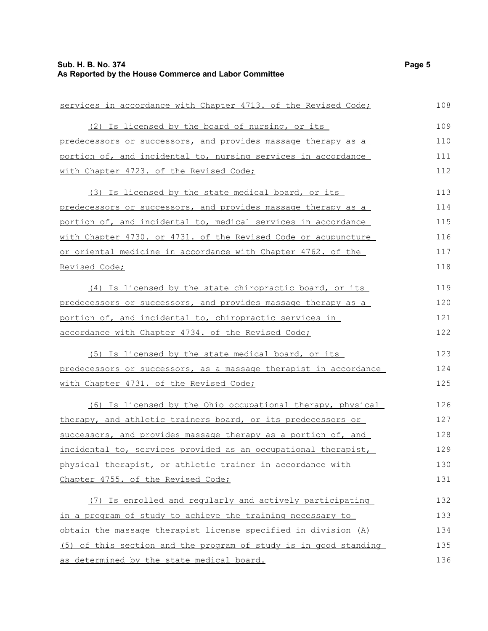| services in accordance with Chapter 4713. of the Revised Code;      | 108 |
|---------------------------------------------------------------------|-----|
| (2) Is licensed by the board of nursing, or its                     | 109 |
| predecessors or successors, and provides massage therapy as a       | 110 |
| portion of, and incidental to, nursing services in accordance       | 111 |
| with Chapter 4723. of the Revised Code;                             | 112 |
| (3) Is licensed by the state medical board, or its                  | 113 |
| predecessors or successors, and provides massage therapy as a       | 114 |
| portion of, and incidental to, medical services in accordance       | 115 |
| with Chapter 4730. or 4731. of the Revised Code or acupuncture      | 116 |
| <u>or oriental medicine in accordance with Chapter 4762. of the</u> | 117 |
| Revised Code;                                                       | 118 |
| (4) Is licensed by the state chiropractic board, or its             | 119 |
| predecessors or successors, and provides massage therapy as a       | 120 |
| portion of, and incidental to, chiropractic services in             | 121 |
| accordance with Chapter 4734. of the Revised Code;                  | 122 |
| (5) Is licensed by the state medical board, or its                  | 123 |
| predecessors or successors, as a massage therapist in accordance    | 124 |
| with Chapter 4731. of the Revised Code;                             | 125 |
| (6) Is licensed by the Ohio occupational therapy, physical          | 126 |
| therapy, and athletic trainers board, or its predecessors or        | 127 |
| successors, and provides massage therapy as a portion of, and       | 128 |
| incidental to, services provided as an occupational therapist,      | 129 |
| physical therapist, or athletic trainer in accordance with          | 130 |
| Chapter 4755. of the Revised Code;                                  | 131 |
| (7) Is enrolled and regularly and actively participating            | 132 |
| in a program of study to achieve the training necessary to          | 133 |
| obtain the massage therapist license specified in division (A)      | 134 |
| (5) of this section and the program of study is in good standing    | 135 |
| as determined by the state medical board.                           | 136 |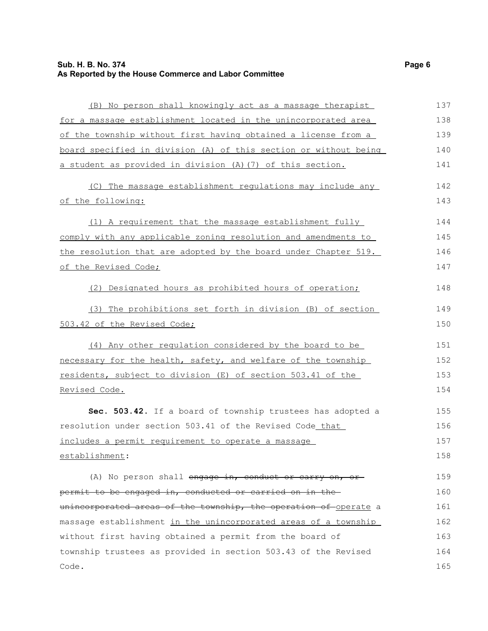| (B) No person shall knowingly act as a massage therapist         | 137 |
|------------------------------------------------------------------|-----|
| for a massage establishment located in the unincorporated area   | 138 |
| of the township without first having obtained a license from a   | 139 |
| board specified in division (A) of this section or without being | 140 |
| a student as provided in division (A) (7) of this section.       | 141 |
| (C) The massage establishment regulations may include any        | 142 |
| of the following:                                                | 143 |
| (1) A requirement that the massage establishment fully           | 144 |
| comply with any applicable zoning resolution and amendments to   | 145 |
| the resolution that are adopted by the board under Chapter 519.  | 146 |
| of the Revised Code;                                             | 147 |
| (2) Designated hours as prohibited hours of operation;           | 148 |
| (3) The prohibitions set forth in division (B) of section        | 149 |
| 503.42 of the Revised Code;                                      | 150 |
| (4) Any other regulation considered by the board to be           | 151 |
| necessary for the health, safety, and welfare of the township    | 152 |
| residents, subject to division (E) of section 503.41 of the      | 153 |
| Revised Code.                                                    | 154 |
| Sec. 503.42. If a board of township trustees has adopted a       | 155 |
| resolution under section 503.41 of the Revised Code that         | 156 |
| includes a permit requirement to operate a massage               | 157 |
| establishment:                                                   | 158 |
| (A) No person shall engage in, conduct or carry on, or           | 159 |
| permit to be engaged in, conducted or carried on in the          | 160 |
| unincorporated areas of the township, the operation of operate a | 161 |
| massage establishment in the unincorporated areas of a township  | 162 |
| without first having obtained a permit from the board of         | 163 |
| township trustees as provided in section 503.43 of the Revised   | 164 |
| Code.                                                            | 165 |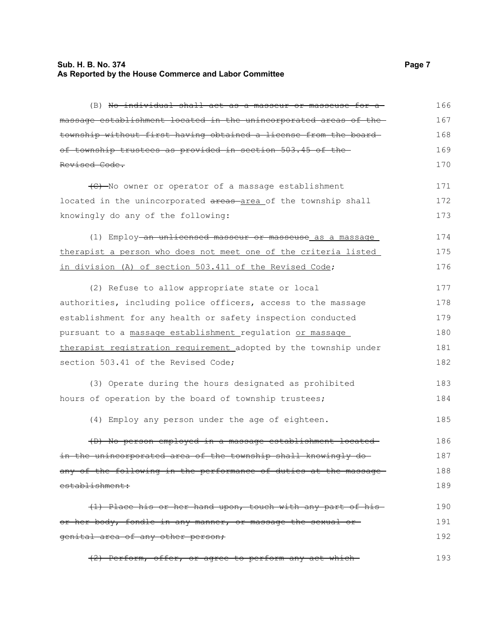#### **Sub. H. B. No. 374 Page 7 As Reported by the House Commerce and Labor Committee**

(B) No individual shall act as a masseur or masseuse for a massage establishment located in the unincorporated areas of the township without first having obtained a license from the board of township trustees as provided in section 503.45 of the Revised Code. (C) No owner or operator of a massage establishment located in the unincorporated areas area of the township shall knowingly do any of the following: (1) Employ an unlicensed masseur or masseuse as a massage therapist a person who does not meet one of the criteria listed in division (A) of section 503.411 of the Revised Code; (2) Refuse to allow appropriate state or local authorities, including police officers, access to the massage establishment for any health or safety inspection conducted pursuant to a massage establishment regulation or massage therapist registration requirement adopted by the township under section 503.41 of the Revised Code; (3) Operate during the hours designated as prohibited hours of operation by the board of township trustees; (4) Employ any person under the age of eighteen. (D) No person employed in a massage establishment located in the unincorporated area of the township shall knowingly doany of the following in the performance of duties at the massageestablishment: (1) Place his or her hand upon, touch with any part of his or her body, fondle in any manner, or massage the sexual or genital area of any other person; (2) Perform, offer, or agree to perform any act which 166 167 168 169 170 171 172 173 174 175 176 177 178 179 180 181 182 183 184 185 186 187 188 189 190 191 192 193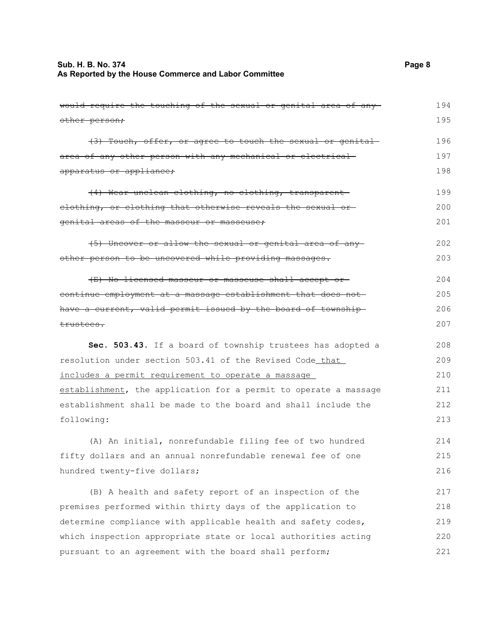### **Sub. H. B. No. 374** Page 8 **As Reported by the House Commerce and Labor Committee**

| would require the touching of the sexual or genital area of any  | 194 |
|------------------------------------------------------------------|-----|
| other person;                                                    | 195 |
| (3) Touch, offer, or agree to touch the sexual or genital        | 196 |
| area of any other person with any mechanical or electrical-      | 197 |
| apparatus or appliance;                                          | 198 |
| (4) Wear unclean clothing, no clothing, transparent              | 199 |
| elothing, or clothing that otherwise reveals the sexual or-      | 200 |
| genital areas of the masseur or masseuse;                        | 201 |
| (5) Uncover or allow the sexual or genital area of any           | 202 |
| other person to be uncovered while providing massages.           | 203 |
| (E) No licensed masseur or masseuse shall accept or              | 204 |
| continue employment at a massage establishment that does not     | 205 |
| have a current, valid permit issued by the board of township     | 206 |
| trustees.                                                        | 207 |
| Sec. 503.43. If a board of township trustees has adopted a       | 208 |
| resolution under section 503.41 of the Revised Code that         | 209 |
| includes a permit requirement to operate a massage               | 210 |
| establishment, the application for a permit to operate a massage | 211 |
| establishment shall be made to the board and shall include the   | 212 |
| following:                                                       | 213 |
| (A) An initial, nonrefundable filing fee of two hundred          | 214 |
| fifty dollars and an annual nonrefundable renewal fee of one     | 215 |
| hundred twenty-five dollars;                                     | 216 |
| (B) A health and safety report of an inspection of the           | 217 |
| premises performed within thirty days of the application to      | 218 |
|                                                                  |     |
| determine compliance with applicable health and safety codes,    | 219 |
| which inspection appropriate state or local authorities acting   | 220 |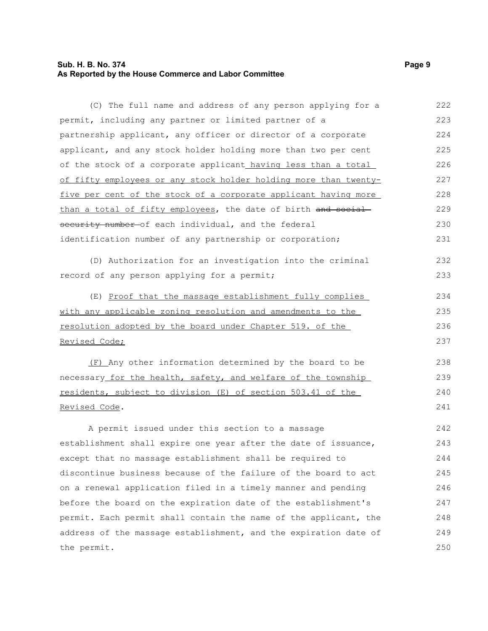#### **Sub. H. B. No. 374** Page 9 **As Reported by the House Commerce and Labor Committee**

(C) The full name and address of any person applying for a permit, including any partner or limited partner of a partnership applicant, any officer or director of a corporate applicant, and any stock holder holding more than two per cent of the stock of a corporate applicant having less than a total of fifty employees or any stock holder holding more than twentyfive per cent of the stock of a corporate applicant having more than a total of fifty employees, the date of birth and socialsecurity number-of each individual, and the federal identification number of any partnership or corporation; (D) Authorization for an investigation into the criminal record of any person applying for a permit; (E) Proof that the massage establishment fully complies with any applicable zoning resolution and amendments to the resolution adopted by the board under Chapter 519. of the Revised Code; (F) Any other information determined by the board to be necessary for the health, safety, and welfare of the township residents, subject to division (E) of section 503.41 of the Revised Code. A permit issued under this section to a massage establishment shall expire one year after the date of issuance, except that no massage establishment shall be required to discontinue business because of the failure of the board to act on a renewal application filed in a timely manner and pending before the board on the expiration date of the establishment's permit. Each permit shall contain the name of the applicant, the address of the massage establishment, and the expiration date of the permit. 222 223 224 225 226 227 228 229 230 231 232 233 234 235 236 237 238 239 240 241 242 243 244 245 246 247 248 249 250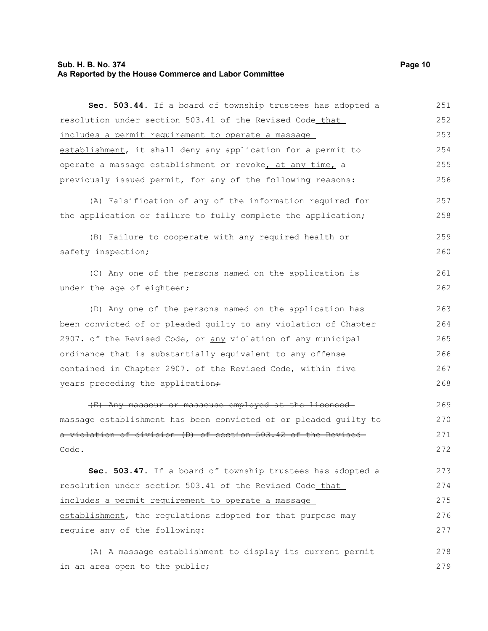#### **Sub. H. B. No. 374 Page 10 As Reported by the House Commerce and Labor Committee**

**Sec. 503.44.** If a board of township trustees has adopted a resolution under section 503.41 of the Revised Code that includes a permit requirement to operate a massage establishment, it shall deny any application for a permit to operate a massage establishment or revoke, at any time, a previously issued permit, for any of the following reasons: (A) Falsification of any of the information required for the application or failure to fully complete the application; (B) Failure to cooperate with any required health or safety inspection; (C) Any one of the persons named on the application is under the age of eighteen; (D) Any one of the persons named on the application has been convicted of or pleaded guilty to any violation of Chapter 2907. of the Revised Code, or any violation of any municipal ordinance that is substantially equivalent to any offense contained in Chapter 2907. of the Revised Code, within five years preceding the application+ (E) Any masseur or masseuse employed at the licensed massage establishment has been convicted of or pleaded guilty to a violation of division (D) of section 503.42 of the Revised Code. **Sec. 503.47.** If a board of township trustees has adopted a resolution under section 503.41 of the Revised Code that includes a permit requirement to operate a massage 251 252 253 254 255 256 257 258 259 260 261 262 263 264 265 266 267 268 269 270 271 272 273 274 275

establishment, the regulations adopted for that purpose may require any of the following: 276 277

(A) A massage establishment to display its current permit in an area open to the public; 278 279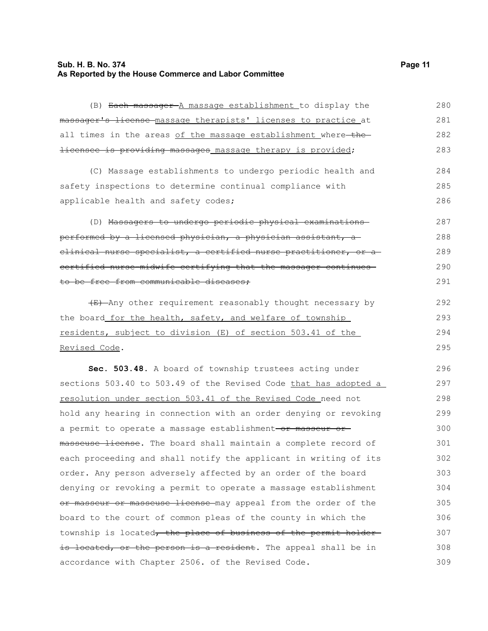### **Sub. H. B. No. 374** Page 11 **As Reported by the House Commerce and Labor Committee**

| (B) Each massager A massage establishment to display the           | 280 |
|--------------------------------------------------------------------|-----|
| massager's license massage therapists' licenses to practice at     | 281 |
| all times in the areas of the massage establishment where-the-     | 282 |
| <i>licensee is providing massages_massage therapy is provided;</i> | 283 |
| (C) Massage establishments to undergo periodic health and          | 284 |
| safety inspections to determine continual compliance with          | 285 |
| applicable health and safety codes;                                | 286 |
| (D) Massagers to undergo periodic physical examinations            | 287 |
| performed by a licensed physician, a physician assistant, a        | 288 |
| elinical nurse specialist, a certified nurse practitioner, or a    | 289 |
| certified nurse-midwife certifying that the massager continues-    | 290 |
| to be free from communicable diseases;                             | 291 |
| (E) Any other requirement reasonably thought necessary by          | 292 |
| the board for the health, safety, and welfare of township          | 293 |
| residents, subject to division (E) of section 503.41 of the        | 294 |
| Revised Code.                                                      | 295 |
| Sec. 503.48. A board of township trustees acting under             | 296 |
| sections 503.40 to 503.49 of the Revised Code that has adopted a   | 297 |
| resolution under section 503.41 of the Revised Code need not       | 298 |
| hold any hearing in connection with an order denying or revoking   | 299 |
| a permit to operate a massage establishment-or masseur or-         | 300 |
| masseuse license. The board shall maintain a complete record of    | 301 |
| each proceeding and shall notify the applicant in writing of its   | 302 |
| order. Any person adversely affected by an order of the board      | 303 |
| denying or revoking a permit to operate a massage establishment    | 304 |
| or masseur or masseuse license may appeal from the order of the    | 305 |
| board to the court of common pleas of the county in which the      | 306 |
| township is located, the place of business of the permit holder-   | 307 |
| is located, or the person is a resident. The appeal shall be in    | 308 |
| accordance with Chapter 2506. of the Revised Code.                 | 309 |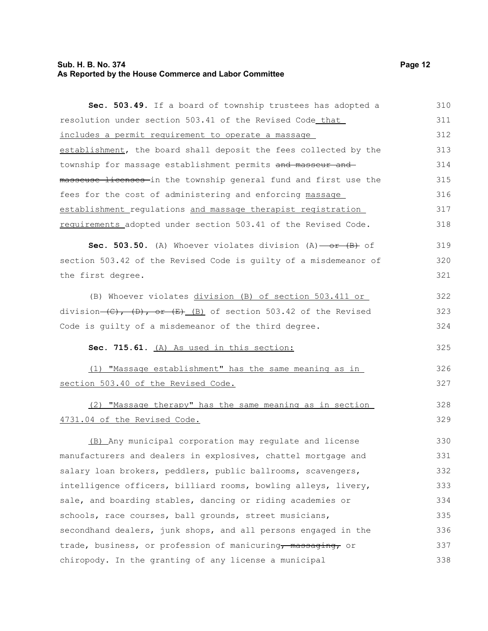#### **Sub. H. B. No. 374 Page 12 As Reported by the House Commerce and Labor Committee**

**Sec. 503.49.** If a board of township trustees has adopted a resolution under section 503.41 of the Revised Code that includes a permit requirement to operate a massage establishment, the board shall deposit the fees collected by the township for massage establishment permits and masseur and masseuse licenses in the township general fund and first use the fees for the cost of administering and enforcing massage establishment regulations and massage therapist registration requirements adopted under section 503.41 of the Revised Code. **Sec. 503.50.** (A) Whoever violates division (A) - or (B) of section 503.42 of the Revised Code is guilty of a misdemeanor of the first degree. (B) Whoever violates division (B) of section 503.411 or

division  $(C)$ ,  $(D)$ , or  $(E)$  (B) of section 503.42 of the Revised Code is guilty of a misdemeanor of the third degree. 322 323 324

#### **Sec. 715.61.** (A) As used in this section:

(1) "Massage establishment" has the same meaning as in section 503.40 of the Revised Code. 326 327

# (2) "Massage therapy" has the same meaning as in section 4731.04 of the Revised Code.

(B) Any municipal corporation may regulate and license manufacturers and dealers in explosives, chattel mortgage and salary loan brokers, peddlers, public ballrooms, scavengers, intelligence officers, billiard rooms, bowling alleys, livery, sale, and boarding stables, dancing or riding academies or schools, race courses, ball grounds, street musicians, secondhand dealers, junk shops, and all persons engaged in the trade, business, or profession of manicuring, massaging, or chiropody. In the granting of any license a municipal 330 331 332 333 334 335 336 337 338

319 320 321

325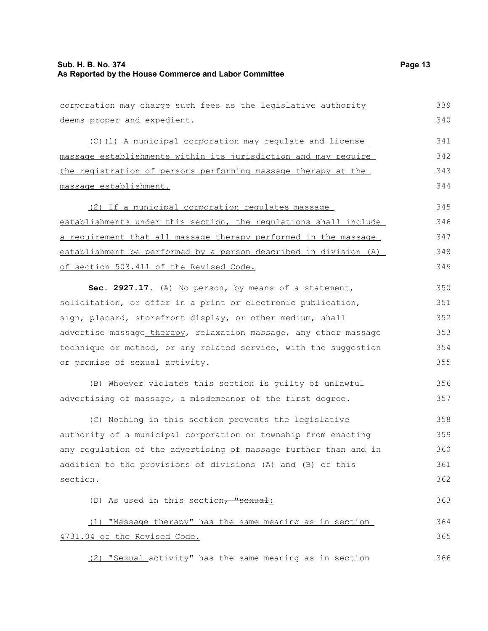| corporation may charge such fees as the legislative authority    | 339 |
|------------------------------------------------------------------|-----|
| deems proper and expedient.                                      | 340 |
| (C)(1) A municipal corporation may regulate and license          | 341 |
| massage establishments within its jurisdiction and may require   | 342 |
| the registration of persons performing massage therapy at the    | 343 |
| massage establishment.                                           | 344 |
| (2) If a municipal corporation regulates massage                 | 345 |
| establishments under this section, the regulations shall include | 346 |
| a requirement that all massage therapy performed in the massage  | 347 |
| establishment be performed by a person described in division (A) | 348 |
| of section 503.411 of the Revised Code.                          | 349 |
| Sec. 2927.17. (A) No person, by means of a statement,            | 350 |
| solicitation, or offer in a print or electronic publication,     | 351 |
| sign, placard, storefront display, or other medium, shall        | 352 |
| advertise massage_therapy, relaxation massage, any other massage | 353 |
| technique or method, or any related service, with the suggestion | 354 |
| or promise of sexual activity.                                   | 355 |
| (B) Whoever violates this section is guilty of unlawful          | 356 |
| advertising of massage, a misdemeanor of the first degree.       | 357 |
| (C) Nothing in this section prevents the legislative             | 358 |
| authority of a municipal corporation or township from enacting   | 359 |
| any regulation of the advertising of massage further than and in | 360 |
| addition to the provisions of divisions (A) and (B) of this      | 361 |
| section.                                                         | 362 |
| (D) As used in this section, "sexual:                            | 363 |
| (1) "Massage therapy" has the same meaning as in section         | 364 |
| 4731.04 of the Revised Code.                                     | 365 |
| (2) "Sexual_activity" has the same meaning as in section         | 366 |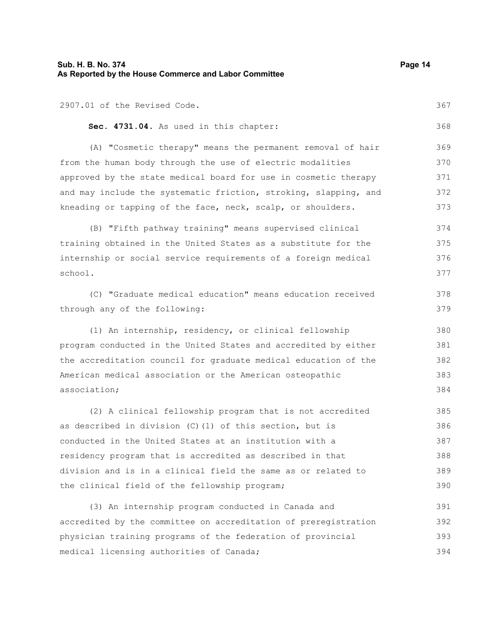| Sub. H. B. No. 374<br>As Reported by the House Commerce and Labor Committee |     |
|-----------------------------------------------------------------------------|-----|
| 2907.01 of the Revised Code.                                                | 367 |
| Sec. 4731.04. As used in this chapter:                                      | 368 |
| (A) "Cosmetic therapy" means the permanent removal of hair                  | 369 |
| from the human body through the use of electric modalities                  | 370 |
| approved by the state medical board for use in cosmetic therapy             | 371 |
| and may include the systematic friction, stroking, slapping, and            | 372 |
| kneading or tapping of the face, neck, scalp, or shoulders.                 | 373 |
| (B) "Fifth pathway training" means supervised clinical                      | 374 |
| training obtained in the United States as a substitute for the              | 375 |
| internship or social service requirements of a foreign medical              | 376 |
| school.                                                                     | 377 |
| (C) "Graduate medical education" means education received                   | 378 |
| through any of the following:                                               | 379 |
| (1) An internship, residency, or clinical fellowship                        | 380 |
| program conducted in the United States and accredited by either             | 381 |
| the accreditation council for graduate medical education of the             | 382 |
| American medical association or the American osteopathic                    | 383 |
| association;                                                                | 384 |
| (2) A clinical fellowship program that is not accredited                    | 385 |
| as described in division $(C)$ (1) of this section, but is                  | 386 |
| conducted in the United States at an institution with a                     | 387 |
| residency program that is accredited as described in that                   | 388 |
| division and is in a clinical field the same as or related to               | 389 |
| the clinical field of the fellowship program;                               | 390 |
| (3) An internship program conducted in Canada and                           | 391 |
| accredited by the committee on accreditation of preregistration             | 392 |
| physician training programs of the federation of provincial                 | 393 |
| medical licensing authorities of Canada;                                    | 394 |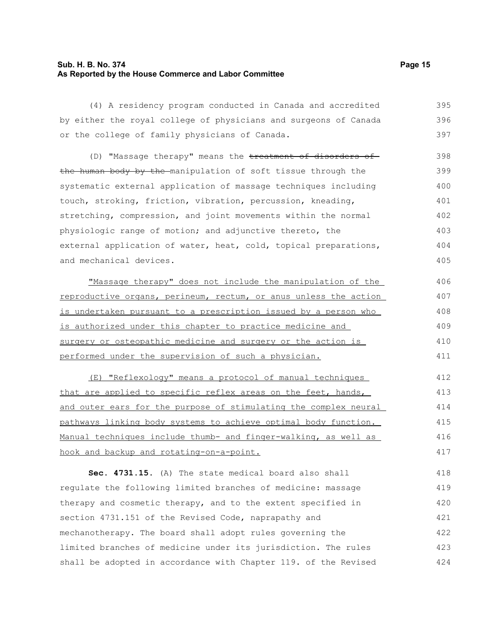#### **Sub. H. B. No. 374 Page 15 As Reported by the House Commerce and Labor Committee**

(4) A residency program conducted in Canada and accredited by either the royal college of physicians and surgeons of Canada or the college of family physicians of Canada. 395 396 397

(D) "Massage therapy" means the treatment of disorders of the human body by the manipulation of soft tissue through the systematic external application of massage techniques including touch, stroking, friction, vibration, percussion, kneading, stretching, compression, and joint movements within the normal physiologic range of motion; and adjunctive thereto, the external application of water, heat, cold, topical preparations, and mechanical devices. 398 399 400 401 402 403 404 405

"Massage therapy" does not include the manipulation of the reproductive organs, perineum, rectum, or anus unless the action is undertaken pursuant to a prescription issued by a person who is authorized under this chapter to practice medicine and surgery or osteopathic medicine and surgery or the action is performed under the supervision of such a physician. 406 407 408 409 410 411

(E) "Reflexology" means a protocol of manual techniques that are applied to specific reflex areas on the feet, hands, and outer ears for the purpose of stimulating the complex neural pathways linking body systems to achieve optimal body function. Manual techniques include thumb- and finger-walking, as well as hook and backup and rotating-on-a-point. 412 413 414 415 416 417

**Sec. 4731.15.** (A) The state medical board also shall regulate the following limited branches of medicine: massage therapy and cosmetic therapy, and to the extent specified in section 4731.151 of the Revised Code, naprapathy and mechanotherapy. The board shall adopt rules governing the limited branches of medicine under its jurisdiction. The rules shall be adopted in accordance with Chapter 119. of the Revised 418 419 420 421 422 423 424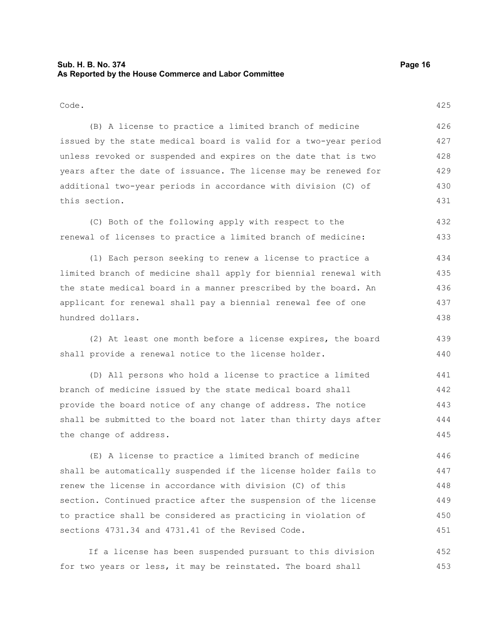#### **Sub. H. B. No. 374 Page 16 As Reported by the House Commerce and Labor Committee**

Code.

(B) A license to practice a limited branch of medicine issued by the state medical board is valid for a two-year period unless revoked or suspended and expires on the date that is two years after the date of issuance. The license may be renewed for additional two-year periods in accordance with division (C) of this section. 426 427 428 429 430 431

(C) Both of the following apply with respect to the renewal of licenses to practice a limited branch of medicine: 432 433

(1) Each person seeking to renew a license to practice a limited branch of medicine shall apply for biennial renewal with the state medical board in a manner prescribed by the board. An applicant for renewal shall pay a biennial renewal fee of one hundred dollars. 434 435 436 437 438

(2) At least one month before a license expires, the board shall provide a renewal notice to the license holder. 439 440

(D) All persons who hold a license to practice a limited branch of medicine issued by the state medical board shall provide the board notice of any change of address. The notice shall be submitted to the board not later than thirty days after the change of address. 441 442 443 444 445

(E) A license to practice a limited branch of medicine shall be automatically suspended if the license holder fails to renew the license in accordance with division (C) of this section. Continued practice after the suspension of the license to practice shall be considered as practicing in violation of sections 4731.34 and 4731.41 of the Revised Code. 446 447 448 449 450 451

If a license has been suspended pursuant to this division for two years or less, it may be reinstated. The board shall 452 453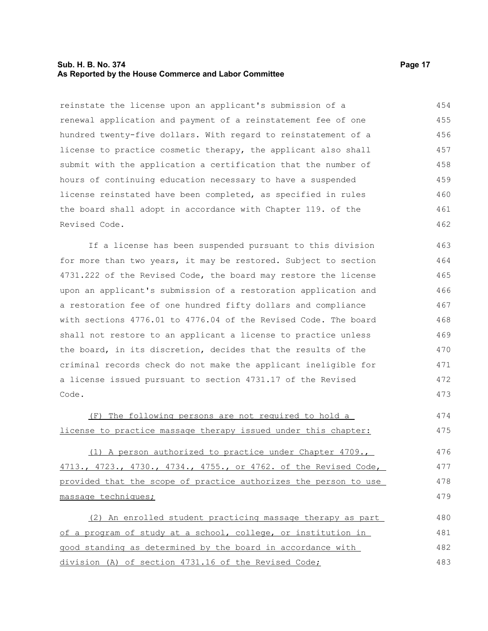#### **Sub. H. B. No. 374 Page 17 As Reported by the House Commerce and Labor Committee**

reinstate the license upon an applicant's submission of a renewal application and payment of a reinstatement fee of one hundred twenty-five dollars. With regard to reinstatement of a license to practice cosmetic therapy, the applicant also shall submit with the application a certification that the number of hours of continuing education necessary to have a suspended license reinstated have been completed, as specified in rules the board shall adopt in accordance with Chapter 119. of the Revised Code. 454 455 456 457 458 459 460 461 462

If a license has been suspended pursuant to this division for more than two years, it may be restored. Subject to section 4731.222 of the Revised Code, the board may restore the license upon an applicant's submission of a restoration application and a restoration fee of one hundred fifty dollars and compliance with sections 4776.01 to 4776.04 of the Revised Code. The board shall not restore to an applicant a license to practice unless the board, in its discretion, decides that the results of the criminal records check do not make the applicant ineligible for a license issued pursuant to section 4731.17 of the Revised Code. 463 464 465 466 467 468 469 470 471 472 473

(F) The following persons are not required to hold a license to practice massage therapy issued under this chapter: 474 475

(1) A person authorized to practice under Chapter 4709., 4713., 4723., 4730., 4734., 4755., or 4762. of the Revised Code, provided that the scope of practice authorizes the person to use massage techniques;

(2) An enrolled student practicing massage therapy as part of a program of study at a school, college, or institution in good standing as determined by the board in accordance with division (A) of section 4731.16 of the Revised Code; 480 481 482 483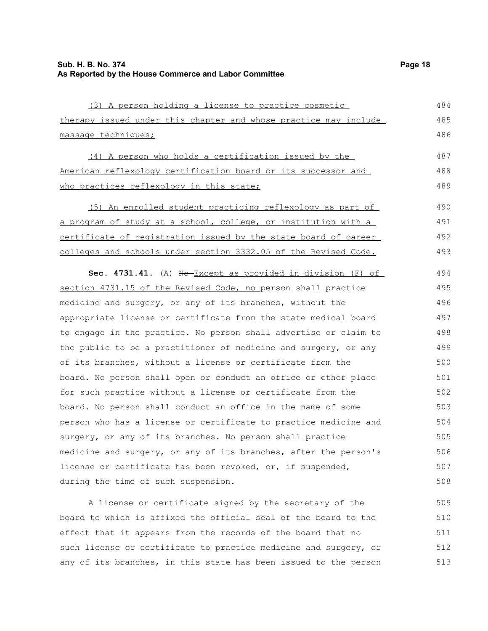| (3) A person holding a license to practice cosmetic                                                                                                    | 484     |
|--------------------------------------------------------------------------------------------------------------------------------------------------------|---------|
| therapy issued under this chapter and whose practice may include                                                                                       | 485     |
| massage techniques;                                                                                                                                    | 486     |
| (4) A person who holds a certification issued by the                                                                                                   | 487     |
| American reflexology certification board or its successor and                                                                                          | 488     |
| who practices reflexology in this state;                                                                                                               | 489     |
| (5) An enrolled student practicing reflexology as part of                                                                                              | 490     |
| a program of study at a school, college, or institution with a                                                                                         | 491     |
| certificate of registration issued by the state board of career                                                                                        | 492     |
| colleges and schools under section 3332.05 of the Revised Code.                                                                                        | 493     |
| Sec. 4731.41. (A) No-Except as provided in division (F) of                                                                                             | 494     |
| section 4731.15 of the Revised Code, no person shall practice                                                                                          | 495     |
| medicine and surgery, or any of its branches, without the                                                                                              | 496     |
| appropriate license or certificate from the state medical board                                                                                        | 497     |
| to engage in the practice. No person shall advertise or claim to                                                                                       | 498     |
| the public to be a practitioner of medicine and surgery, or any                                                                                        | 499     |
| of its branches, without a license or certificate from the                                                                                             | 500     |
| board. No person shall open or conduct an office or other place                                                                                        | 501     |
| for such practice without a license or certificate from the                                                                                            | 502     |
| board. No person shall conduct an office in the name of some                                                                                           | 503     |
| person who has a license or certificate to practice medicine and                                                                                       | 504     |
| surgery, or any of its branches. No person shall practice                                                                                              | 505     |
| medicine and surgery, or any of its branches, after the person's                                                                                       | 506     |
| license or certificate has been revoked, or, if suspended,                                                                                             | 507     |
| during the time of such suspension.                                                                                                                    | 508     |
| the contract of the contract of the contract of the contract of the contract of the contract of the contract of<br>the contract of the contract of the | $-$ 0.0 |

A license or certificate signed by the secretary of the board to which is affixed the official seal of the board to the effect that it appears from the records of the board that no such license or certificate to practice medicine and surgery, or any of its branches, in this state has been issued to the person 509 510 511 512 513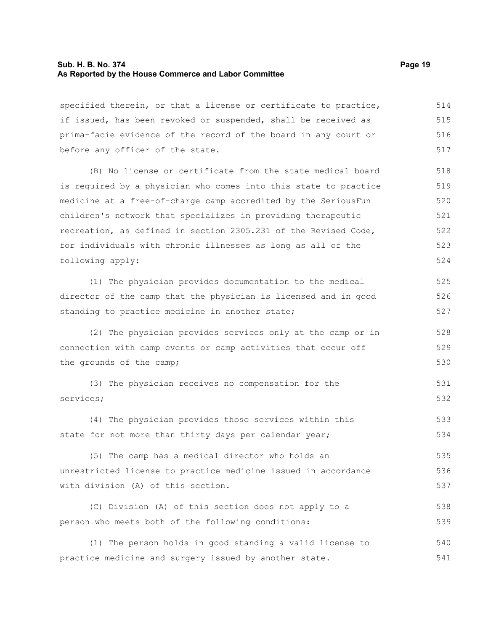#### **Sub. H. B. No. 374 Page 19 As Reported by the House Commerce and Labor Committee**

specified therein, or that a license or certificate to practice, if issued, has been revoked or suspended, shall be received as prima-facie evidence of the record of the board in any court or before any officer of the state. 514 515 516 517

(B) No license or certificate from the state medical board is required by a physician who comes into this state to practice medicine at a free-of-charge camp accredited by the SeriousFun children's network that specializes in providing therapeutic recreation, as defined in section 2305.231 of the Revised Code, for individuals with chronic illnesses as long as all of the following apply:

(1) The physician provides documentation to the medical director of the camp that the physician is licensed and in good standing to practice medicine in another state;

(2) The physician provides services only at the camp or in connection with camp events or camp activities that occur off the grounds of the camp;

(3) The physician receives no compensation for the services; 531 532

(4) The physician provides those services within this state for not more than thirty days per calendar year; 533 534

(5) The camp has a medical director who holds an unrestricted license to practice medicine issued in accordance with division (A) of this section. 535 536 537

(C) Division (A) of this section does not apply to a person who meets both of the following conditions: 538 539

(1) The person holds in good standing a valid license to practice medicine and surgery issued by another state. 540 541

525 526 527